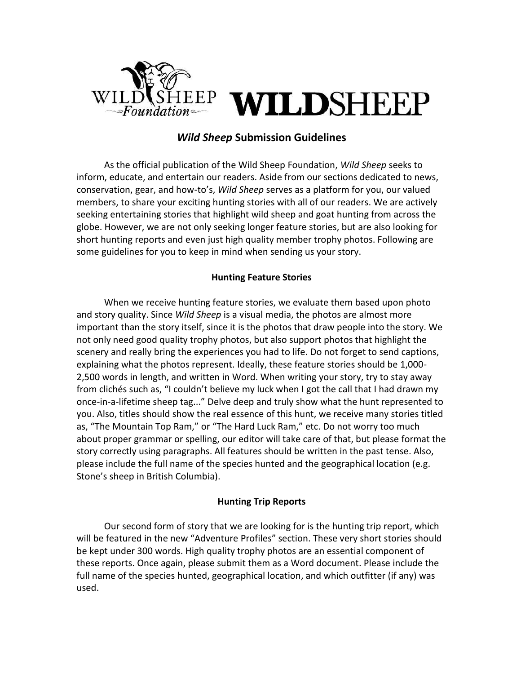

# *Wild Sheep* **Submission Guidelines**

As the official publication of the Wild Sheep Foundation, *Wild Sheep* seeks to inform, educate, and entertain our readers. Aside from our sections dedicated to news, conservation, gear, and how-to's, *Wild Sheep* serves as a platform for you, our valued members, to share your exciting hunting stories with all of our readers. We are actively seeking entertaining stories that highlight wild sheep and goat hunting from across the globe. However, we are not only seeking longer feature stories, but are also looking for short hunting reports and even just high quality member trophy photos. Following are some guidelines for you to keep in mind when sending us your story.

#### **Hunting Feature Stories**

When we receive hunting feature stories, we evaluate them based upon photo and story quality. Since *Wild Sheep* is a visual media, the photos are almost more important than the story itself, since it is the photos that draw people into the story. We not only need good quality trophy photos, but also support photos that highlight the scenery and really bring the experiences you had to life. Do not forget to send captions, explaining what the photos represent. Ideally, these feature stories should be 1,000- 2,500 words in length, and written in Word. When writing your story, try to stay away from clichés such as, "I couldn't believe my luck when I got the call that I had drawn my once-in-a-lifetime sheep tag..." Delve deep and truly show what the hunt represented to you. Also, titles should show the real essence of this hunt, we receive many stories titled as, "The Mountain Top Ram," or "The Hard Luck Ram," etc. Do not worry too much about proper grammar or spelling, our editor will take care of that, but please format the story correctly using paragraphs. All features should be written in the past tense. Also, please include the full name of the species hunted and the geographical location (e.g. Stone's sheep in British Columbia).

#### **Hunting Trip Reports**

Our second form of story that we are looking for is the hunting trip report, which will be featured in the new "Adventure Profiles" section. These very short stories should be kept under 300 words. High quality trophy photos are an essential component of these reports. Once again, please submit them as a Word document. Please include the full name of the species hunted, geographical location, and which outfitter (if any) was used.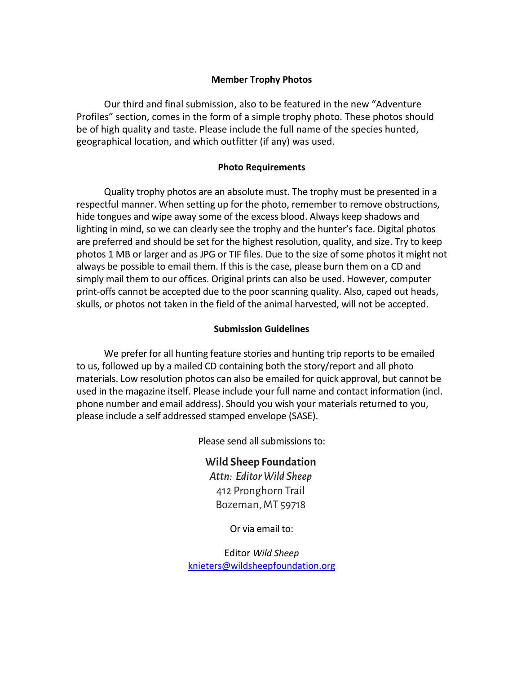## **Member Trophy Photos**

Our third and final submission, also to be featured in the new "Adventure Profiles" section, comes in the form of a simple trophy photo. These photos should be of high quality and taste. Please include the full name of the species hunted, geographical location, and which outfitter (if any) was used.

### **Photo Requirements**

Quality trophy photos are an absolute must. The trophy must be presented in a respectful manner. When setting up for the photo, remember to remove obstructions, hide tongues and wipe away some of the excess blood. Always keep shadows and lighting in mind, so we can clearly see the trophy and the hunter's face. Digital photos are preferred and should be set for the highest resolution, quality, and size. Try to keep photos 1 MB or larger and as JPG or TIF files. Due to the size of some photos it might not always be possible to email them. If this is the case, please burn them on a CD and simply mail them to our offices. Original prints can also be used. However, computer print-offs cannot be accepted due to the poor scanning quality. Also, caped out heads, skulls, or photos not taken in the field of the animal harvested, will not be accepted.

### **Submission Guidelines**

We prefer for all hunting feature stories and hunting trip reports to be emailed to us, followed up by a mailed CD containing both the story/report and all photo materials. Low resolution photos can also be emailed for quick approval, but cannot be used in the magazine itself. Please include your full name and contact information (incl. phone number and email address). Should you wish your materials returned to you, please include a self addressed stamped envelope (SASE).

Please send all submissions to:

Wild Sheep Foundation **Wild Sheep Foundation** Attn: Editor *Wild Sheep Attn: Editor Wild Sheep* 412 Pronghorn Trail Bozeman, MT 59718

Or via email to:

Editor *Wild Sheep*  knieters@wildsheepfoundation.org